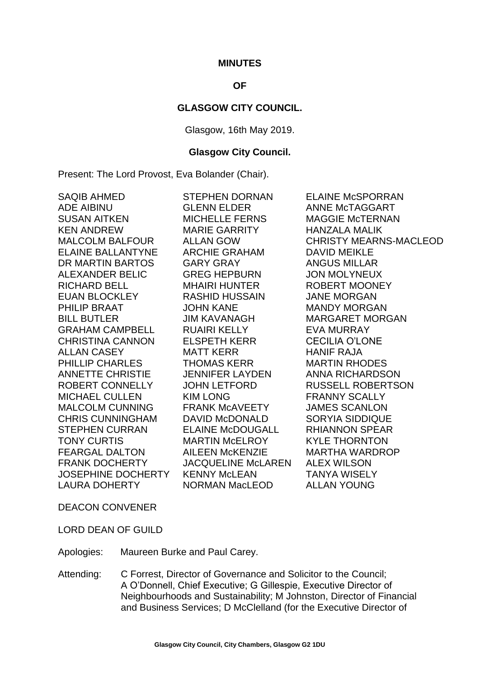#### **MINUTES**

# **OF**

#### **GLASGOW CITY COUNCIL.**

Glasgow, 16th May 2019.

#### **Glasgow City Council.**

Present: The Lord Provost, Eva Bolander (Chair).

| SAQIB AHMED<br><b>ADE AIBINU</b><br>SUSAN AITKEN<br>KEN ANDREW<br><b>MALCOLM BALFOUR</b><br><b>ELAINE BALLANTYNE</b><br>DR MARTIN BARTOS | STEPHEN DORNAN<br>GLENN ELDER<br><b>MICHELLE FERNS</b><br>MARIE GARRITY<br>ALLAN GOW<br><b>ARCHIE GRAHAM</b><br>GARY GRAY | <b>ELAINE McSPORRAN</b><br>ANNE McTAGGART<br><b>MAGGIE McTERNAN</b><br><b>HANZALA MALIK</b><br><b>CHRISTY MEARNS-MACLEOD</b><br><b>DAVID MEIKLE</b><br><b>ANGUS MILLAR</b> |
|------------------------------------------------------------------------------------------------------------------------------------------|---------------------------------------------------------------------------------------------------------------------------|----------------------------------------------------------------------------------------------------------------------------------------------------------------------------|
| ALEXANDER BELIC<br><b>RICHARD BELL</b>                                                                                                   | <b>GREG HEPBURN</b><br>MHAIRI HUNTER                                                                                      | <b>JON MOLYNEUX</b><br>ROBERT MOONEY                                                                                                                                       |
| <b>EUAN BLOCKLEY</b>                                                                                                                     | RASHID HUSSAIN                                                                                                            | <b>JANE MORGAN</b>                                                                                                                                                         |
| PHILIP BRAAT                                                                                                                             | <b>JOHN KANE</b>                                                                                                          | <b>MANDY MORGAN</b>                                                                                                                                                        |
| <b>BILL BUTLER</b>                                                                                                                       | <b>JIM KAVANAGH</b>                                                                                                       | <b>MARGARET MORGAN</b>                                                                                                                                                     |
| <b>GRAHAM CAMPBELL</b>                                                                                                                   | RUAIRI KELLY                                                                                                              | <b>EVA MURRAY</b>                                                                                                                                                          |
| CHRISTINA CANNON                                                                                                                         | <b>ELSPETH KERR</b>                                                                                                       | <b>CECILIA O'LONE</b>                                                                                                                                                      |
| <b>ALLAN CASEY</b>                                                                                                                       | <b>MATT KERR</b>                                                                                                          | <b>HANIF RAJA</b>                                                                                                                                                          |
| PHILLIP CHARLES                                                                                                                          | <b>THOMAS KERR</b>                                                                                                        | <b>MARTIN RHODES</b>                                                                                                                                                       |
| ANNETTE CHRISTIE                                                                                                                         | JENNIFER LAYDEN                                                                                                           | <b>ANNA RICHARDSON</b>                                                                                                                                                     |
| ROBERT CONNELLY                                                                                                                          | JOHN LETFORD                                                                                                              | <b>RUSSELL ROBERTSON</b>                                                                                                                                                   |
| MICHAEL CULLEN                                                                                                                           | <b>KIM LONG</b>                                                                                                           | <b>FRANNY SCALLY</b>                                                                                                                                                       |
| <b>MALCOLM CUNNING</b>                                                                                                                   | <b>FRANK MCAVEETY</b>                                                                                                     | <b>JAMES SCANLON</b>                                                                                                                                                       |
| CHRIS CUNNINGHAM                                                                                                                         | DAVID McDONALD                                                                                                            | <b>SORYIA SIDDIQUE</b>                                                                                                                                                     |
| STEPHEN CURRAN                                                                                                                           | <b>ELAINE McDOUGALL</b>                                                                                                   | <b>RHIANNON SPEAR</b>                                                                                                                                                      |
| TONY CURTIS                                                                                                                              | <b>MARTIN McELROY</b>                                                                                                     | <b>KYLE THORNTON</b>                                                                                                                                                       |
| <b>FEARGAL DALTON</b>                                                                                                                    | AILEEN McKENZIE                                                                                                           | <b>MARTHA WARDROP</b>                                                                                                                                                      |
| FRANK DOCHERTY                                                                                                                           | JACQUELINE McLAREN ALEX WILSON                                                                                            |                                                                                                                                                                            |
|                                                                                                                                          | JOSEPHINE DOCHERTY KENNY McLEAN TANYA WISELY                                                                              |                                                                                                                                                                            |
| LAURA DOHERTY                                                                                                                            | NORMAN MacLEOD                                                                                                            | <b>ALLAN YOUNG</b>                                                                                                                                                         |

DEACON CONVENER

LORD DEAN OF GUILD

Apologies: Maureen Burke and Paul Carey.

Attending: C Forrest, Director of Governance and Solicitor to the Council; A O'Donnell, Chief Executive; G Gillespie, Executive Director of Neighbourhoods and Sustainability; M Johnston, Director of Financial and Business Services; D McClelland (for the Executive Director of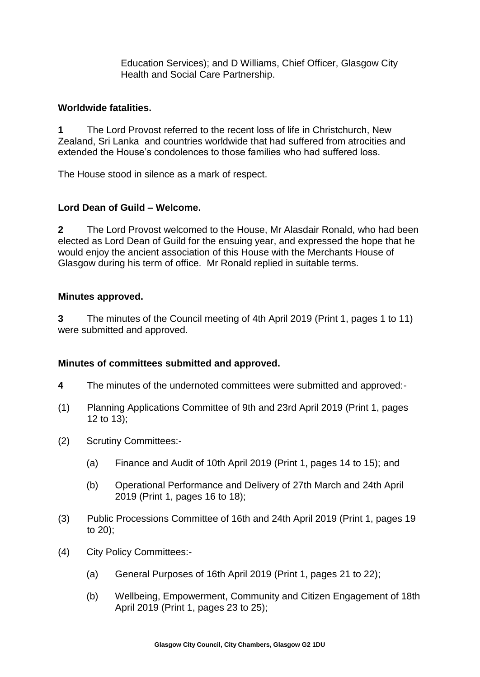Education Services); and D Williams, Chief Officer, Glasgow City Health and Social Care Partnership.

### **Worldwide fatalities.**

**1** The Lord Provost referred to the recent loss of life in Christchurch, New Zealand, Sri Lanka and countries worldwide that had suffered from atrocities and extended the House's condolences to those families who had suffered loss.

The House stood in silence as a mark of respect.

# **Lord Dean of Guild – Welcome.**

**2** The Lord Provost welcomed to the House, Mr Alasdair Ronald, who had been elected as Lord Dean of Guild for the ensuing year, and expressed the hope that he would enjoy the ancient association of this House with the Merchants House of Glasgow during his term of office. Mr Ronald replied in suitable terms.

#### **Minutes approved.**

**3** The minutes of the Council meeting of 4th April 2019 (Print 1, pages 1 to 11) were submitted and approved.

# **Minutes of committees submitted and approved.**

- **4** The minutes of the undernoted committees were submitted and approved:-
- (1) Planning Applications Committee of 9th and 23rd April 2019 (Print 1, pages 12 to 13);
- (2) Scrutiny Committees:-
	- (a) Finance and Audit of 10th April 2019 (Print 1, pages 14 to 15); and
	- (b) Operational Performance and Delivery of 27th March and 24th April 2019 (Print 1, pages 16 to 18);
- (3) Public Processions Committee of 16th and 24th April 2019 (Print 1, pages 19 to 20);
- (4) City Policy Committees:-
	- (a) General Purposes of 16th April 2019 (Print 1, pages 21 to 22);
	- (b) Wellbeing, Empowerment, Community and Citizen Engagement of 18th April 2019 (Print 1, pages 23 to 25);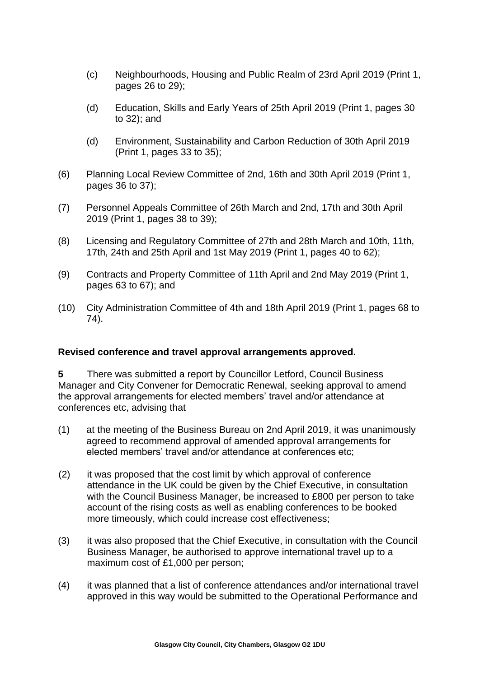- (c) Neighbourhoods, Housing and Public Realm of 23rd April 2019 (Print 1, pages 26 to 29);
- (d) Education, Skills and Early Years of 25th April 2019 (Print 1, pages 30 to 32); and
- (d) Environment, Sustainability and Carbon Reduction of 30th April 2019 (Print 1, pages 33 to 35);
- (6) Planning Local Review Committee of 2nd, 16th and 30th April 2019 (Print 1, pages 36 to 37);
- (7) Personnel Appeals Committee of 26th March and 2nd, 17th and 30th April 2019 (Print 1, pages 38 to 39);
- (8) Licensing and Regulatory Committee of 27th and 28th March and 10th, 11th, 17th, 24th and 25th April and 1st May 2019 (Print 1, pages 40 to 62);
- (9) Contracts and Property Committee of 11th April and 2nd May 2019 (Print 1, pages 63 to 67); and
- (10) City Administration Committee of 4th and 18th April 2019 (Print 1, pages 68 to 74).

# **Revised conference and travel approval arrangements approved.**

**5** There was submitted a report by Councillor Letford, Council Business Manager and City Convener for Democratic Renewal, seeking approval to amend the approval arrangements for elected members' travel and/or attendance at conferences etc, advising that

- (1) at the meeting of the Business Bureau on 2nd April 2019, it was unanimously agreed to recommend approval of amended approval arrangements for elected members' travel and/or attendance at conferences etc;
- (2) it was proposed that the cost limit by which approval of conference attendance in the UK could be given by the Chief Executive, in consultation with the Council Business Manager, be increased to £800 per person to take account of the rising costs as well as enabling conferences to be booked more timeously, which could increase cost effectiveness;
- (3) it was also proposed that the Chief Executive, in consultation with the Council Business Manager, be authorised to approve international travel up to a maximum cost of £1,000 per person;
- (4) it was planned that a list of conference attendances and/or international travel approved in this way would be submitted to the Operational Performance and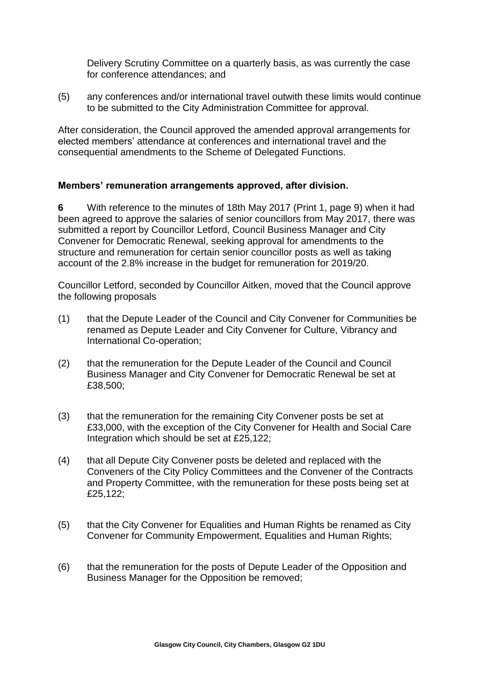Delivery Scrutiny Committee on a quarterly basis, as was currently the case for conference attendances; and

(5) any conferences and/or international travel outwith these limits would continue to be submitted to the City Administration Committee for approval.

After consideration, the Council approved the amended approval arrangements for elected members' attendance at conferences and international travel and the consequential amendments to the Scheme of Delegated Functions.

# **Members' remuneration arrangements approved, after division.**

**6** With reference to the minutes of 18th May 2017 (Print 1, page 9) when it had been agreed to approve the salaries of senior councillors from May 2017, there was submitted a report by Councillor Letford, Council Business Manager and City Convener for Democratic Renewal, seeking approval for amendments to the structure and remuneration for certain senior councillor posts as well as taking account of the 2.8% increase in the budget for remuneration for 2019/20.

Councillor Letford, seconded by Councillor Aitken, moved that the Council approve the following proposals

- (1) that the Depute Leader of the Council and City Convener for Communities be renamed as Depute Leader and City Convener for Culture, Vibrancy and International Co-operation;
- (2) that the remuneration for the Depute Leader of the Council and Council Business Manager and City Convener for Democratic Renewal be set at £38,500;
- (3) that the remuneration for the remaining City Convener posts be set at £33,000, with the exception of the City Convener for Health and Social Care Integration which should be set at £25,122;
- (4) that all Depute City Convener posts be deleted and replaced with the Conveners of the City Policy Committees and the Convener of the Contracts and Property Committee, with the remuneration for these posts being set at £25,122;
- (5) that the City Convener for Equalities and Human Rights be renamed as City Convener for Community Empowerment, Equalities and Human Rights;
- (6) that the remuneration for the posts of Depute Leader of the Opposition and Business Manager for the Opposition be removed;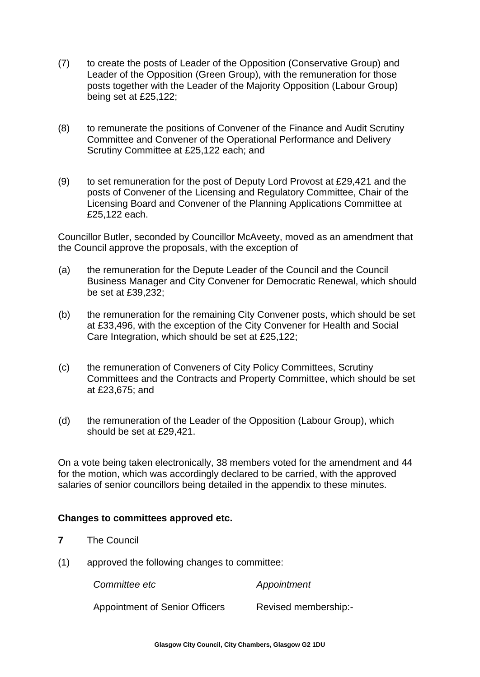- (7) to create the posts of Leader of the Opposition (Conservative Group) and Leader of the Opposition (Green Group), with the remuneration for those posts together with the Leader of the Majority Opposition (Labour Group) being set at £25,122;
- (8) to remunerate the positions of Convener of the Finance and Audit Scrutiny Committee and Convener of the Operational Performance and Delivery Scrutiny Committee at £25,122 each; and
- (9) to set remuneration for the post of Deputy Lord Provost at £29,421 and the posts of Convener of the Licensing and Regulatory Committee, Chair of the Licensing Board and Convener of the Planning Applications Committee at £25,122 each.

Councillor Butler, seconded by Councillor McAveety, moved as an amendment that the Council approve the proposals, with the exception of

- (a) the remuneration for the Depute Leader of the Council and the Council Business Manager and City Convener for Democratic Renewal, which should be set at £39,232;
- (b) the remuneration for the remaining City Convener posts, which should be set at £33,496, with the exception of the City Convener for Health and Social Care Integration, which should be set at £25,122;
- (c) the remuneration of Conveners of City Policy Committees, Scrutiny Committees and the Contracts and Property Committee, which should be set at £23,675; and
- (d) the remuneration of the Leader of the Opposition (Labour Group), which should be set at £29,421.

On a vote being taken electronically, 38 members voted for the amendment and 44 for the motion, which was accordingly declared to be carried, with the approved salaries of senior councillors being detailed in the appendix to these minutes.

# **Changes to committees approved etc.**

- **7** The Council
- (1) approved the following changes to committee:

*Committee etc Appointment*

Appointment of Senior Officers Revised membership:-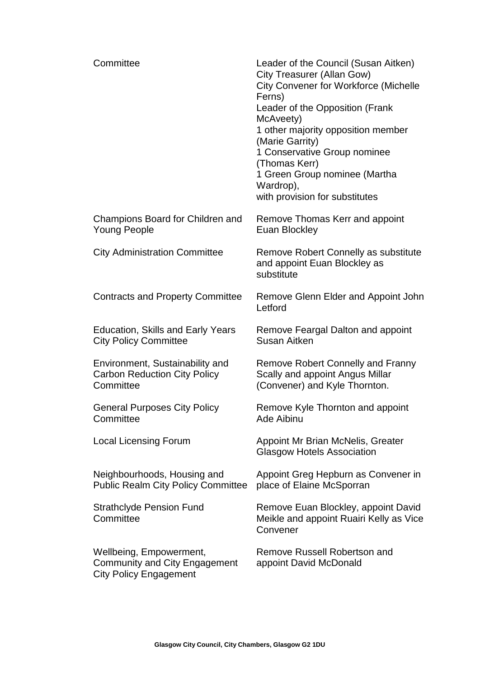| Committee                                                                                        | Leader of the Council (Susan Aitken)<br><b>City Treasurer (Allan Gow)</b><br><b>City Convener for Workforce (Michelle</b><br>Ferns)<br>Leader of the Opposition (Frank<br>McAveety)<br>1 other majority opposition member<br>(Marie Garrity)<br>1 Conservative Group nominee<br>(Thomas Kerr)<br>1 Green Group nominee (Martha<br>Wardrop),<br>with provision for substitutes |
|--------------------------------------------------------------------------------------------------|-------------------------------------------------------------------------------------------------------------------------------------------------------------------------------------------------------------------------------------------------------------------------------------------------------------------------------------------------------------------------------|
| Champions Board for Children and<br><b>Young People</b>                                          | Remove Thomas Kerr and appoint<br><b>Euan Blockley</b>                                                                                                                                                                                                                                                                                                                        |
| <b>City Administration Committee</b>                                                             | Remove Robert Connelly as substitute<br>and appoint Euan Blockley as<br>substitute                                                                                                                                                                                                                                                                                            |
| <b>Contracts and Property Committee</b>                                                          | Remove Glenn Elder and Appoint John<br>Letford                                                                                                                                                                                                                                                                                                                                |
| <b>Education, Skills and Early Years</b><br><b>City Policy Committee</b>                         | Remove Feargal Dalton and appoint<br>Susan Aitken                                                                                                                                                                                                                                                                                                                             |
| Environment, Sustainability and<br><b>Carbon Reduction City Policy</b><br>Committee              | Remove Robert Connelly and Franny<br>Scally and appoint Angus Millar<br>(Convener) and Kyle Thornton.                                                                                                                                                                                                                                                                         |
| <b>General Purposes City Policy</b><br>Committee                                                 | Remove Kyle Thornton and appoint<br><b>Ade Aibinu</b>                                                                                                                                                                                                                                                                                                                         |
| <b>Local Licensing Forum</b>                                                                     | Appoint Mr Brian McNelis, Greater<br><b>Glasgow Hotels Association</b>                                                                                                                                                                                                                                                                                                        |
| Neighbourhoods, Housing and<br><b>Public Realm City Policy Committee</b>                         | Appoint Greg Hepburn as Convener in<br>place of Elaine McSporran                                                                                                                                                                                                                                                                                                              |
| <b>Strathclyde Pension Fund</b><br>Committee                                                     | Remove Euan Blockley, appoint David<br>Meikle and appoint Ruairi Kelly as Vice<br>Convener                                                                                                                                                                                                                                                                                    |
| Wellbeing, Empowerment,<br><b>Community and City Engagement</b><br><b>City Policy Engagement</b> | <b>Remove Russell Robertson and</b><br>appoint David McDonald                                                                                                                                                                                                                                                                                                                 |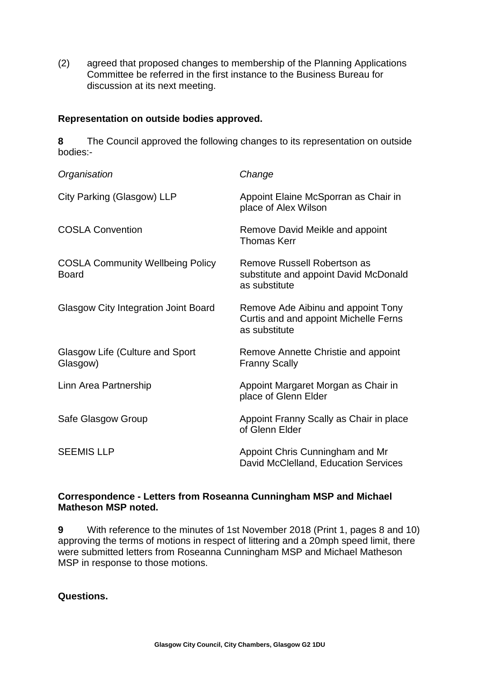(2) agreed that proposed changes to membership of the Planning Applications Committee be referred in the first instance to the Business Bureau for discussion at its next meeting.

# **Representation on outside bodies approved.**

**8** The Council approved the following changes to its representation on outside bodies:-

| Organisation                                            | Change                                                                                       |
|---------------------------------------------------------|----------------------------------------------------------------------------------------------|
| City Parking (Glasgow) LLP                              | Appoint Elaine McSporran as Chair in<br>place of Alex Wilson                                 |
| <b>COSLA Convention</b>                                 | Remove David Meikle and appoint<br><b>Thomas Kerr</b>                                        |
| <b>COSLA Community Wellbeing Policy</b><br><b>Board</b> | Remove Russell Robertson as<br>substitute and appoint David McDonald<br>as substitute        |
| <b>Glasgow City Integration Joint Board</b>             | Remove Ade Aibinu and appoint Tony<br>Curtis and and appoint Michelle Ferns<br>as substitute |
| <b>Glasgow Life (Culture and Sport</b><br>Glasgow)      | Remove Annette Christie and appoint<br><b>Franny Scally</b>                                  |
| Linn Area Partnership                                   | Appoint Margaret Morgan as Chair in<br>place of Glenn Elder                                  |
| Safe Glasgow Group                                      | Appoint Franny Scally as Chair in place<br>of Glenn Elder                                    |
| <b>SEEMIS LLP</b>                                       | Appoint Chris Cunningham and Mr<br>David McClelland, Education Services                      |

# **Correspondence - Letters from Roseanna Cunningham MSP and Michael Matheson MSP noted.**

**9** With reference to the minutes of 1st November 2018 (Print 1, pages 8 and 10) approving the terms of motions in respect of littering and a 20mph speed limit, there were submitted letters from Roseanna Cunningham MSP and Michael Matheson MSP in response to those motions.

**Questions.**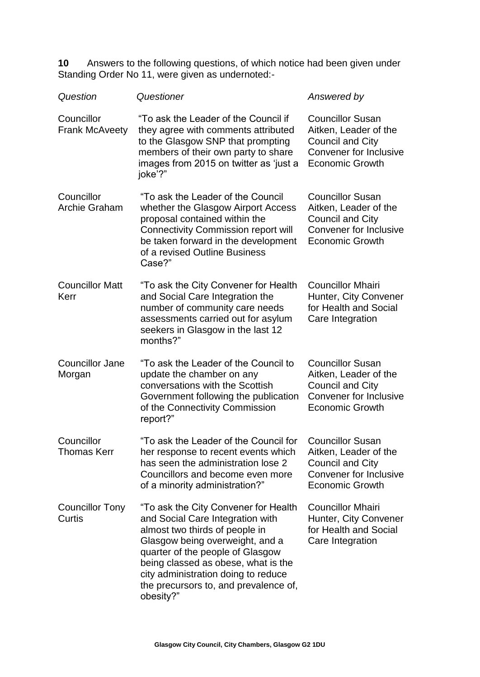**10** Answers to the following questions, of which notice had been given under Standing Order No 11, were given as undernoted:-

| Question                            | Questioner                                                                                                                                                                                                                                                                                                            | Answered by                                                                                                                            |
|-------------------------------------|-----------------------------------------------------------------------------------------------------------------------------------------------------------------------------------------------------------------------------------------------------------------------------------------------------------------------|----------------------------------------------------------------------------------------------------------------------------------------|
| Councillor<br><b>Frank McAveety</b> | "To ask the Leader of the Council if<br>they agree with comments attributed<br>to the Glasgow SNP that prompting<br>members of their own party to share<br>images from 2015 on twitter as 'just a<br>joke'?"                                                                                                          | <b>Councillor Susan</b><br>Aitken, Leader of the<br><b>Council and City</b><br><b>Convener for Inclusive</b><br><b>Economic Growth</b> |
| Councillor<br><b>Archie Graham</b>  | "To ask the Leader of the Council<br>whether the Glasgow Airport Access<br>proposal contained within the<br><b>Connectivity Commission report will</b><br>be taken forward in the development<br>of a revised Outline Business<br>Case?"                                                                              | <b>Councillor Susan</b><br>Aitken, Leader of the<br><b>Council and City</b><br><b>Convener for Inclusive</b><br><b>Economic Growth</b> |
| <b>Councillor Matt</b><br>Kerr      | "To ask the City Convener for Health<br>and Social Care Integration the<br>number of community care needs<br>assessments carried out for asylum<br>seekers in Glasgow in the last 12<br>months?"                                                                                                                      | <b>Councillor Mhairi</b><br>Hunter, City Convener<br>for Health and Social<br>Care Integration                                         |
| <b>Councillor Jane</b><br>Morgan    | "To ask the Leader of the Council to<br>update the chamber on any<br>conversations with the Scottish<br>Government following the publication<br>of the Connectivity Commission<br>report?"                                                                                                                            | <b>Councillor Susan</b><br>Aitken, Leader of the<br><b>Council and City</b><br><b>Convener for Inclusive</b><br><b>Economic Growth</b> |
| Councillor<br><b>Thomas Kerr</b>    | "To ask the Leader of the Council for<br>her response to recent events which<br>has seen the administration lose 2<br>Councillors and become even more<br>of a minority administration?"                                                                                                                              | <b>Councillor Susan</b><br>Aitken, Leader of the<br>Council and City<br><b>Convener for Inclusive</b><br><b>Economic Growth</b>        |
| <b>Councillor Tony</b><br>Curtis    | "To ask the City Convener for Health<br>and Social Care Integration with<br>almost two thirds of people in<br>Glasgow being overweight, and a<br>quarter of the people of Glasgow<br>being classed as obese, what is the<br>city administration doing to reduce<br>the precursors to, and prevalence of,<br>obesity?" | <b>Councillor Mhairi</b><br>Hunter, City Convener<br>for Health and Social<br>Care Integration                                         |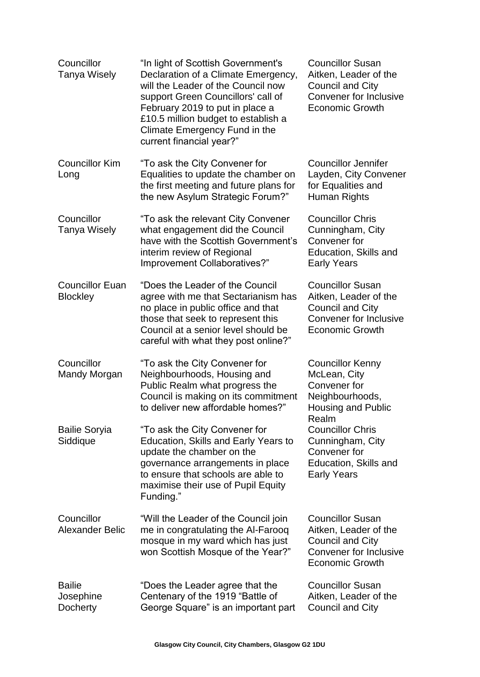| Councillor<br><b>Tanya Wisely</b>         | "In light of Scottish Government's<br>Declaration of a Climate Emergency,<br>will the Leader of the Council now<br>support Green Councillors' call of<br>February 2019 to put in place a<br>£10.5 million budget to establish a<br>Climate Emergency Fund in the<br>current financial year?" | <b>Councillor Susan</b><br>Aitken, Leader of the<br><b>Council and City</b><br><b>Convener for Inclusive</b><br><b>Economic Growth</b> |
|-------------------------------------------|----------------------------------------------------------------------------------------------------------------------------------------------------------------------------------------------------------------------------------------------------------------------------------------------|----------------------------------------------------------------------------------------------------------------------------------------|
| <b>Councillor Kim</b><br>Long             | "To ask the City Convener for<br>Equalities to update the chamber on<br>the first meeting and future plans for<br>the new Asylum Strategic Forum?"                                                                                                                                           | <b>Councillor Jennifer</b><br>Layden, City Convener<br>for Equalities and<br>Human Rights                                              |
| Councillor<br>Tanya Wisely                | "To ask the relevant City Convener<br>what engagement did the Council<br>have with the Scottish Government's<br>interim review of Regional<br>Improvement Collaboratives?"                                                                                                                   | <b>Councillor Chris</b><br>Cunningham, City<br>Convener for<br>Education, Skills and<br><b>Early Years</b>                             |
| <b>Councillor Euan</b><br><b>Blockley</b> | "Does the Leader of the Council<br>agree with me that Sectarianism has<br>no place in public office and that<br>those that seek to represent this<br>Council at a senior level should be<br>careful with what they post online?"                                                             | <b>Councillor Susan</b><br>Aitken, Leader of the<br><b>Council and City</b><br><b>Convener for Inclusive</b><br><b>Economic Growth</b> |
| Councillor<br>Mandy Morgan                | "To ask the City Convener for<br>Neighbourhoods, Housing and<br>Public Realm what progress the<br>Council is making on its commitment<br>to deliver new affordable homes?"                                                                                                                   | <b>Councillor Kenny</b><br>McLean, City<br>Convener for<br>Neighbourhoods,<br><b>Housing and Public</b><br>Realm                       |
| <b>Bailie Soryia</b><br>Siddique          | "To ask the City Convener for<br>Education, Skills and Early Years to<br>update the chamber on the<br>governance arrangements in place<br>to ensure that schools are able to<br>maximise their use of Pupil Equity<br>Funding."                                                              | <b>Councillor Chris</b><br>Cunningham, City<br>Convener for<br>Education, Skills and<br><b>Early Years</b>                             |
| Councillor<br><b>Alexander Belic</b>      | "Will the Leader of the Council join<br>me in congratulating the Al-Farooq<br>mosque in my ward which has just<br>won Scottish Mosque of the Year?"                                                                                                                                          | <b>Councillor Susan</b><br>Aitken, Leader of the<br><b>Council and City</b><br><b>Convener for Inclusive</b><br><b>Economic Growth</b> |
| <b>Bailie</b><br>Josephine<br>Docherty    | "Does the Leader agree that the<br>Centenary of the 1919 "Battle of<br>George Square" is an important part                                                                                                                                                                                   | <b>Councillor Susan</b><br>Aitken, Leader of the<br><b>Council and City</b>                                                            |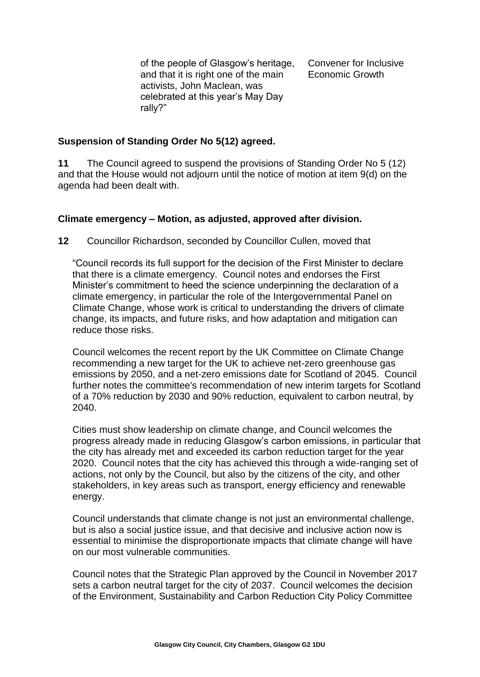of the people of Glasgow's heritage, and that it is right one of the main activists, John Maclean, was celebrated at this year's May Day rally?"

Convener for Inclusive Economic Growth

### **Suspension of Standing Order No 5(12) agreed.**

**11** The Council agreed to suspend the provisions of Standing Order No 5 (12) and that the House would not adjourn until the notice of motion at item 9(d) on the agenda had been dealt with.

#### **Climate emergency – Motion, as adjusted, approved after division.**

**12** Councillor Richardson, seconded by Councillor Cullen, moved that

"Council records its full support for the decision of the First Minister to declare that there is a climate emergency. Council notes and endorses the First Minister's commitment to heed the science underpinning the declaration of a climate emergency, in particular the role of the Intergovernmental Panel on Climate Change, whose work is critical to understanding the drivers of climate change, its impacts, and future risks, and how adaptation and mitigation can reduce those risks.

Council welcomes the recent report by the UK Committee on Climate Change recommending a new target for the UK to achieve net-zero greenhouse gas emissions by 2050, and a net-zero emissions date for Scotland of 2045. Council further notes the committee's recommendation of new interim targets for Scotland of a 70% reduction by 2030 and 90% reduction, equivalent to carbon neutral, by 2040.

Cities must show leadership on climate change, and Council welcomes the progress already made in reducing Glasgow's carbon emissions, in particular that the city has already met and exceeded its carbon reduction target for the year 2020. Council notes that the city has achieved this through a wide-ranging set of actions, not only by the Council, but also by the citizens of the city, and other stakeholders, in key areas such as transport, energy efficiency and renewable energy.

Council understands that climate change is not just an environmental challenge, but is also a social justice issue, and that decisive and inclusive action now is essential to minimise the disproportionate impacts that climate change will have on our most vulnerable communities.

Council notes that the Strategic Plan approved by the Council in November 2017 sets a carbon neutral target for the city of 2037. Council welcomes the decision of the Environment, Sustainability and Carbon Reduction City Policy Committee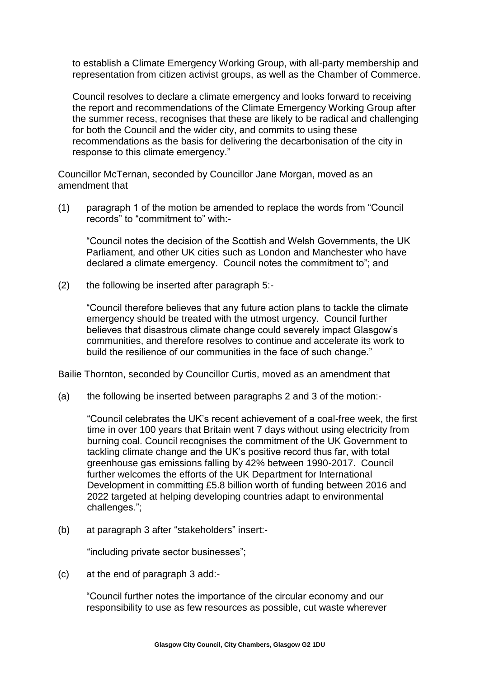to establish a Climate Emergency Working Group, with all-party membership and representation from citizen activist groups, as well as the Chamber of Commerce.

Council resolves to declare a climate emergency and looks forward to receiving the report and recommendations of the Climate Emergency Working Group after the summer recess, recognises that these are likely to be radical and challenging for both the Council and the wider city, and commits to using these recommendations as the basis for delivering the decarbonisation of the city in response to this climate emergency."

Councillor McTernan, seconded by Councillor Jane Morgan, moved as an amendment that

(1) paragraph 1 of the motion be amended to replace the words from "Council records" to "commitment to" with:-

"Council notes the decision of the Scottish and Welsh Governments, the UK Parliament, and other UK cities such as London and Manchester who have declared a climate emergency. Council notes the commitment to"; and

(2) the following be inserted after paragraph 5:-

"Council therefore believes that any future action plans to tackle the climate emergency should be treated with the utmost urgency. Council further believes that disastrous climate change could severely impact Glasgow's communities, and therefore resolves to continue and accelerate its work to build the resilience of our communities in the face of such change."

Bailie Thornton, seconded by Councillor Curtis, moved as an amendment that

(a) the following be inserted between paragraphs 2 and 3 of the motion:-

"Council celebrates the UK's recent achievement of a coal-free week, the first time in over 100 years that Britain went 7 days without using electricity from burning coal. Council recognises the commitment of the UK Government to tackling climate change and the UK's positive record thus far, with total greenhouse gas emissions falling by 42% between 1990-2017. Council further welcomes the efforts of the UK Department for International Development in committing £5.8 billion worth of funding between 2016 and 2022 targeted at helping developing countries adapt to environmental challenges.";

(b) at paragraph 3 after "stakeholders" insert:-

"including private sector businesses";

(c) at the end of paragraph 3 add:-

"Council further notes the importance of the circular economy and our responsibility to use as few resources as possible, cut waste wherever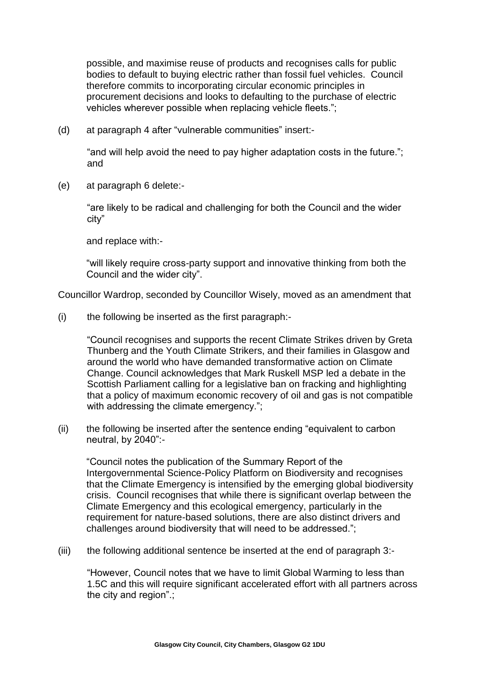possible, and maximise reuse of products and recognises calls for public bodies to default to buying electric rather than fossil fuel vehicles. Council therefore commits to incorporating circular economic principles in procurement decisions and looks to defaulting to the purchase of electric vehicles wherever possible when replacing vehicle fleets.";

(d) at paragraph 4 after "vulnerable communities" insert:-

"and will help avoid the need to pay higher adaptation costs in the future."; and

(e) at paragraph 6 delete:-

"are likely to be radical and challenging for both the Council and the wider city"

and replace with:-

"will likely require cross-party support and innovative thinking from both the Council and the wider city".

Councillor Wardrop, seconded by Councillor Wisely, moved as an amendment that

(i) the following be inserted as the first paragraph:-

"Council recognises and supports the recent Climate Strikes driven by Greta Thunberg and the Youth Climate Strikers, and their families in Glasgow and around the world who have demanded transformative action on Climate Change. Council acknowledges that Mark Ruskell MSP led a debate in the Scottish Parliament calling for a legislative ban on fracking and highlighting that a policy of maximum economic recovery of oil and gas is not compatible with addressing the climate emergency.";

(ii) the following be inserted after the sentence ending "equivalent to carbon neutral, by 2040":-

"Council notes the publication of the Summary Report of the Intergovernmental Science-Policy Platform on Biodiversity and recognises that the Climate Emergency is intensified by the emerging global biodiversity crisis. Council recognises that while there is significant overlap between the Climate Emergency and this ecological emergency, particularly in the requirement for nature-based solutions, there are also distinct drivers and challenges around biodiversity that will need to be addressed.";

(iii) the following additional sentence be inserted at the end of paragraph 3:-

"However, Council notes that we have to limit Global Warming to less than 1.5C and this will require significant accelerated effort with all partners across the city and region".;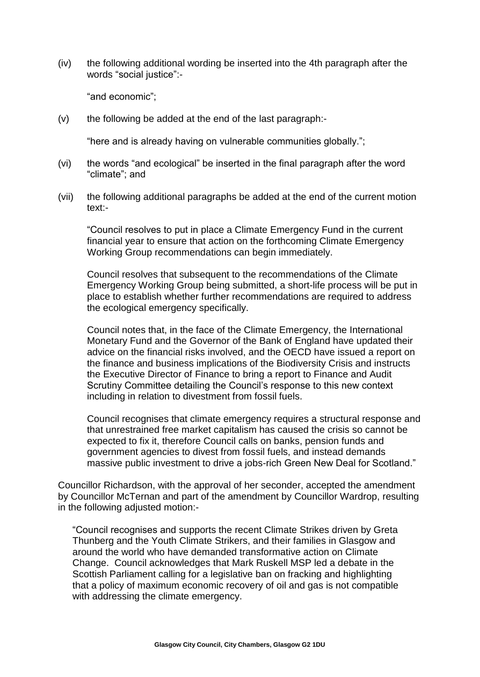(iv) the following additional wording be inserted into the 4th paragraph after the words "social justice":-

"and economic";

(v) the following be added at the end of the last paragraph:-

"here and is already having on vulnerable communities globally.";

- (vi) the words "and ecological" be inserted in the final paragraph after the word "climate"; and
- (vii) the following additional paragraphs be added at the end of the current motion text:-

"Council resolves to put in place a Climate Emergency Fund in the current financial year to ensure that action on the forthcoming Climate Emergency Working Group recommendations can begin immediately.

Council resolves that subsequent to the recommendations of the Climate Emergency Working Group being submitted, a short-life process will be put in place to establish whether further recommendations are required to address the ecological emergency specifically.

Council notes that, in the face of the Climate Emergency, the International Monetary Fund and the Governor of the Bank of England have updated their advice on the financial risks involved, and the OECD have issued a report on the finance and business implications of the Biodiversity Crisis and instructs the Executive Director of Finance to bring a report to Finance and Audit Scrutiny Committee detailing the Council's response to this new context including in relation to divestment from fossil fuels.

Council recognises that climate emergency requires a structural response and that unrestrained free market capitalism has caused the crisis so cannot be expected to fix it, therefore Council calls on banks, pension funds and government agencies to divest from fossil fuels, and instead demands massive public investment to drive a jobs-rich Green New Deal for Scotland."

Councillor Richardson, with the approval of her seconder, accepted the amendment by Councillor McTernan and part of the amendment by Councillor Wardrop, resulting in the following adjusted motion:-

"Council recognises and supports the recent Climate Strikes driven by Greta Thunberg and the Youth Climate Strikers, and their families in Glasgow and around the world who have demanded transformative action on Climate Change. Council acknowledges that Mark Ruskell MSP led a debate in the Scottish Parliament calling for a legislative ban on fracking and highlighting that a policy of maximum economic recovery of oil and gas is not compatible with addressing the climate emergency.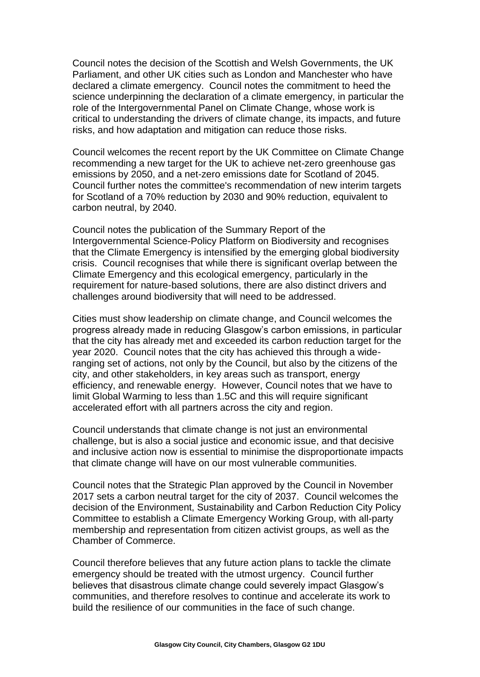Council notes the decision of the Scottish and Welsh Governments, the UK Parliament, and other UK cities such as London and Manchester who have declared a climate emergency. Council notes the commitment to heed the science underpinning the declaration of a climate emergency, in particular the role of the Intergovernmental Panel on Climate Change, whose work is critical to understanding the drivers of climate change, its impacts, and future risks, and how adaptation and mitigation can reduce those risks.

Council welcomes the recent report by the UK Committee on Climate Change recommending a new target for the UK to achieve net-zero greenhouse gas emissions by 2050, and a net-zero emissions date for Scotland of 2045. Council further notes the committee's recommendation of new interim targets for Scotland of a 70% reduction by 2030 and 90% reduction, equivalent to carbon neutral, by 2040.

Council notes the publication of the Summary Report of the Intergovernmental Science-Policy Platform on Biodiversity and recognises that the Climate Emergency is intensified by the emerging global biodiversity crisis. Council recognises that while there is significant overlap between the Climate Emergency and this ecological emergency, particularly in the requirement for nature-based solutions, there are also distinct drivers and challenges around biodiversity that will need to be addressed.

Cities must show leadership on climate change, and Council welcomes the progress already made in reducing Glasgow's carbon emissions, in particular that the city has already met and exceeded its carbon reduction target for the year 2020. Council notes that the city has achieved this through a wideranging set of actions, not only by the Council, but also by the citizens of the city, and other stakeholders, in key areas such as transport, energy efficiency, and renewable energy. However, Council notes that we have to limit Global Warming to less than 1.5C and this will require significant accelerated effort with all partners across the city and region.

Council understands that climate change is not just an environmental challenge, but is also a social justice and economic issue, and that decisive and inclusive action now is essential to minimise the disproportionate impacts that climate change will have on our most vulnerable communities.

Council notes that the Strategic Plan approved by the Council in November 2017 sets a carbon neutral target for the city of 2037. Council welcomes the decision of the Environment, Sustainability and Carbon Reduction City Policy Committee to establish a Climate Emergency Working Group, with all-party membership and representation from citizen activist groups, as well as the Chamber of Commerce.

Council therefore believes that any future action plans to tackle the climate emergency should be treated with the utmost urgency. Council further believes that disastrous climate change could severely impact Glasgow's communities, and therefore resolves to continue and accelerate its work to build the resilience of our communities in the face of such change.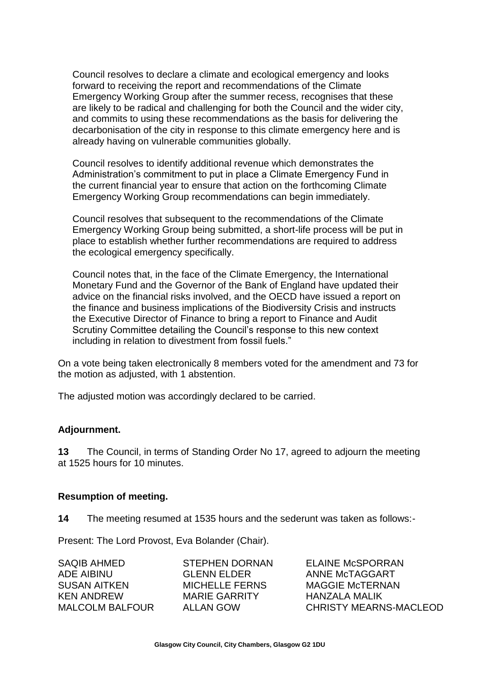Council resolves to declare a climate and ecological emergency and looks forward to receiving the report and recommendations of the Climate Emergency Working Group after the summer recess, recognises that these are likely to be radical and challenging for both the Council and the wider city, and commits to using these recommendations as the basis for delivering the decarbonisation of the city in response to this climate emergency here and is already having on vulnerable communities globally.

Council resolves to identify additional revenue which demonstrates the Administration's commitment to put in place a Climate Emergency Fund in the current financial year to ensure that action on the forthcoming Climate Emergency Working Group recommendations can begin immediately.

Council resolves that subsequent to the recommendations of the Climate Emergency Working Group being submitted, a short-life process will be put in place to establish whether further recommendations are required to address the ecological emergency specifically.

Council notes that, in the face of the Climate Emergency, the International Monetary Fund and the Governor of the Bank of England have updated their advice on the financial risks involved, and the OECD have issued a report on the finance and business implications of the Biodiversity Crisis and instructs the Executive Director of Finance to bring a report to Finance and Audit Scrutiny Committee detailing the Council's response to this new context including in relation to divestment from fossil fuels."

On a vote being taken electronically 8 members voted for the amendment and 73 for the motion as adjusted, with 1 abstention.

The adjusted motion was accordingly declared to be carried.

# **Adjournment.**

**13** The Council, in terms of Standing Order No 17, agreed to adjourn the meeting at 1525 hours for 10 minutes.

#### **Resumption of meeting.**

**14** The meeting resumed at 1535 hours and the sederunt was taken as follows:-

Present: The Lord Provost, Eva Bolander (Chair).

| SAQIB AHMED     | STEPHEN DORNAN        | <b>ELAINE McSPORRAN</b> |
|-----------------|-----------------------|-------------------------|
| ADE AIBINU-     | <b>GLENN ELDER</b>    | ANNE McTAGGART          |
| SUSAN AITKEN    | <b>MICHELLE FERNS</b> | MAGGIE McTERNAN         |
| KEN ANDREW      | <b>MARIE GARRITY</b>  | HANZAI A MALIK          |
| MALCOLM BALFOUR | ALLAN GOW             | CHRISTY MEARNS-MACLEOD  |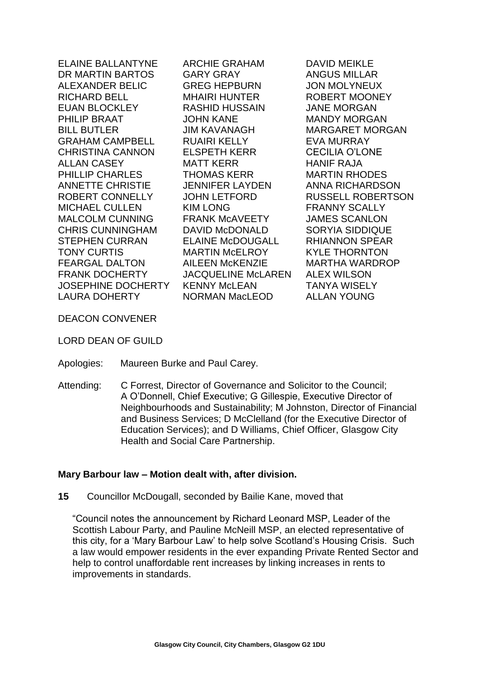ELAINE BALLANTYNE DR MARTIN BARTOS ALEXANDER BELIC RICHARD BELL EUAN BLOCKLEY PHILIP BRAAT BILL BUTLER GRAHAM CAMPBELL CHRISTINA CANNON ALLAN CASEY PHILLIP CHARLES ANNETTE CHRISTIE ROBERT CONNELLY MICHAEL CULLEN MALCOLM CUNNING CHRIS CUNNINGHAM STEPHEN CURRAN TONY CURTIS FEARGAL DALTON FRANK DOCHERTY JOSEPHINE DOCHERTY LAURA DOHERTY

ARCHIE GRAHAM GARY GRAY GREG HEPBURN MHAIRI HUNTER RASHID HUSSAIN JOHN KANE JIM KAVANAGH RUAIRI KELLY ELSPETH KERR MATT KERR THOMAS KERR JENNIFER LAYDEN JOHN LETFORD KIM LONG FRANK McAVEETY DAVID McDONALD ELAINE McDOUGALL MARTIN McELROY AILEEN McKENZIE JACQUELINE McLAREN KENNY McLEAN NORMAN MacLEOD

DAVID MEIKLE ANGUS MILLAR JON MOLYNEUX ROBERT MOONEY JANE MORGAN MANDY MORGAN MARGARET MORGAN EVA MURRAY CECILIA O'LONE HANIF RAJA MARTIN RHODES ANNA RICHARDSON RUSSELL ROBERTSON FRANNY SCALLY JAMES SCANLON SORYIA SIDDIQUE RHIANNON SPEAR KYLE THORNTON MARTHA WARDROP ALEX WILSON TANYA WISELY ALLAN YOUNG

DEACON CONVENER

LORD DEAN OF GUILD

- Apologies: Maureen Burke and Paul Carey.
- Attending: C Forrest, Director of Governance and Solicitor to the Council; A O'Donnell, Chief Executive; G Gillespie, Executive Director of Neighbourhoods and Sustainability; M Johnston, Director of Financial and Business Services; D McClelland (for the Executive Director of Education Services); and D Williams, Chief Officer, Glasgow City Health and Social Care Partnership.

# **Mary Barbour law – Motion dealt with, after division.**

**15** Councillor McDougall, seconded by Bailie Kane, moved that

"Council notes the announcement by Richard Leonard MSP, Leader of the Scottish Labour Party, and Pauline McNeill MSP, an elected representative of this city, for a 'Mary Barbour Law' to help solve Scotland's Housing Crisis. Such a law would empower residents in the ever expanding Private Rented Sector and help to control unaffordable rent increases by linking increases in rents to improvements in standards.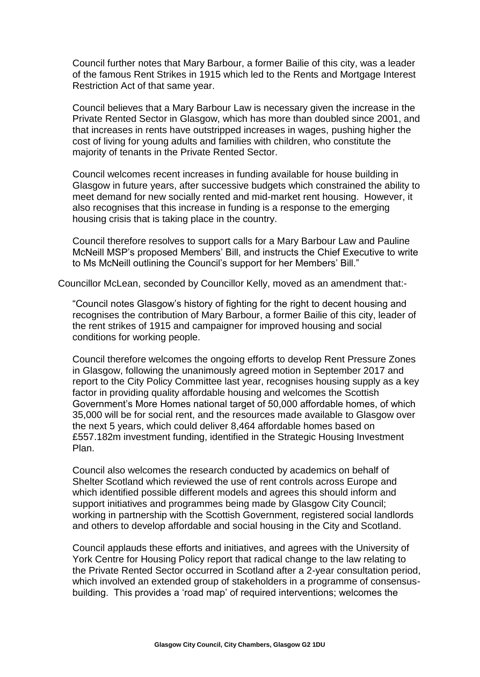Council further notes that Mary Barbour, a former Bailie of this city, was a leader of the famous Rent Strikes in 1915 which led to the Rents and Mortgage Interest Restriction Act of that same year.

Council believes that a Mary Barbour Law is necessary given the increase in the Private Rented Sector in Glasgow, which has more than doubled since 2001, and that increases in rents have outstripped increases in wages, pushing higher the cost of living for young adults and families with children, who constitute the majority of tenants in the Private Rented Sector.

Council welcomes recent increases in funding available for house building in Glasgow in future years, after successive budgets which constrained the ability to meet demand for new socially rented and mid-market rent housing. However, it also recognises that this increase in funding is a response to the emerging housing crisis that is taking place in the country.

Council therefore resolves to support calls for a Mary Barbour Law and Pauline McNeill MSP's proposed Members' Bill, and instructs the Chief Executive to write to Ms McNeill outlining the Council's support for her Members' Bill."

Councillor McLean, seconded by Councillor Kelly, moved as an amendment that:-

"Council notes Glasgow's history of fighting for the right to decent housing and recognises the contribution of Mary Barbour, a former Bailie of this city, leader of the rent strikes of 1915 and campaigner for improved housing and social conditions for working people.

Council therefore welcomes the ongoing efforts to develop Rent Pressure Zones in Glasgow, following the unanimously agreed motion in September 2017 and report to the City Policy Committee last year, recognises housing supply as a key factor in providing quality affordable housing and welcomes the Scottish Government's More Homes national target of 50,000 affordable homes, of which 35,000 will be for social rent, and the resources made available to Glasgow over the next 5 years, which could deliver 8,464 affordable homes based on £557.182m investment funding, identified in the Strategic Housing Investment Plan.

Council also welcomes the research conducted by academics on behalf of Shelter Scotland which reviewed the use of rent controls across Europe and which identified possible different models and agrees this should inform and support initiatives and programmes being made by Glasgow City Council; working in partnership with the Scottish Government, registered social landlords and others to develop affordable and social housing in the City and Scotland.

Council applauds these efforts and initiatives, and agrees with the University of York Centre for Housing Policy report that radical change to the law relating to the Private Rented Sector occurred in Scotland after a 2-year consultation period, which involved an extended group of stakeholders in a programme of consensusbuilding. This provides a 'road map' of required interventions; welcomes the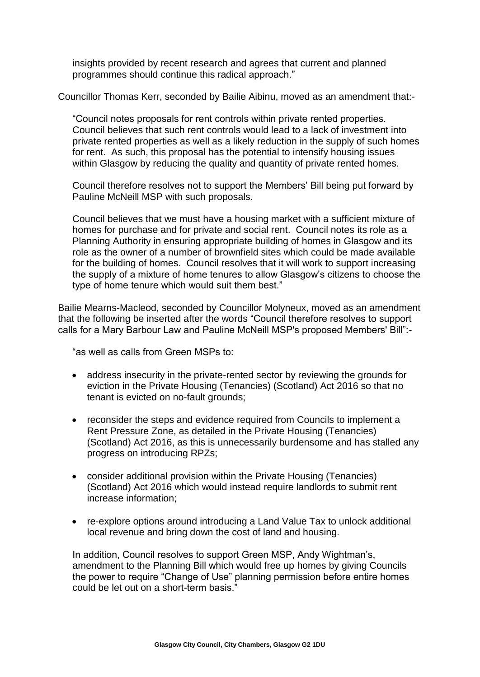insights provided by recent research and agrees that current and planned programmes should continue this radical approach."

Councillor Thomas Kerr, seconded by Bailie Aibinu, moved as an amendment that:-

"Council notes proposals for rent controls within private rented properties. Council believes that such rent controls would lead to a lack of investment into private rented properties as well as a likely reduction in the supply of such homes for rent. As such, this proposal has the potential to intensify housing issues within Glasgow by reducing the quality and quantity of private rented homes.

Council therefore resolves not to support the Members' Bill being put forward by Pauline McNeill MSP with such proposals.

Council believes that we must have a housing market with a sufficient mixture of homes for purchase and for private and social rent. Council notes its role as a Planning Authority in ensuring appropriate building of homes in Glasgow and its role as the owner of a number of brownfield sites which could be made available for the building of homes. Council resolves that it will work to support increasing the supply of a mixture of home tenures to allow Glasgow's citizens to choose the type of home tenure which would suit them best."

Bailie Mearns-Macleod, seconded by Councillor Molyneux, moved as an amendment that the following be inserted after the words "Council therefore resolves to support calls for a Mary Barbour Law and Pauline McNeill MSP's proposed Members' Bill":-

"as well as calls from Green MSPs to:

- address insecurity in the private-rented sector by reviewing the grounds for eviction in the Private Housing (Tenancies) (Scotland) Act 2016 so that no tenant is evicted on no-fault grounds;
- reconsider the steps and evidence required from Councils to implement a Rent Pressure Zone, as detailed in the Private Housing (Tenancies) (Scotland) Act 2016, as this is unnecessarily burdensome and has stalled any progress on introducing RPZs;
- consider additional provision within the Private Housing (Tenancies) (Scotland) Act 2016 which would instead require landlords to submit rent increase information;
- re-explore options around introducing a Land Value Tax to unlock additional local revenue and bring down the cost of land and housing.

In addition, Council resolves to support Green MSP, Andy Wightman's, amendment to the Planning Bill which would free up homes by giving Councils the power to require "Change of Use" planning permission before entire homes could be let out on a short-term basis."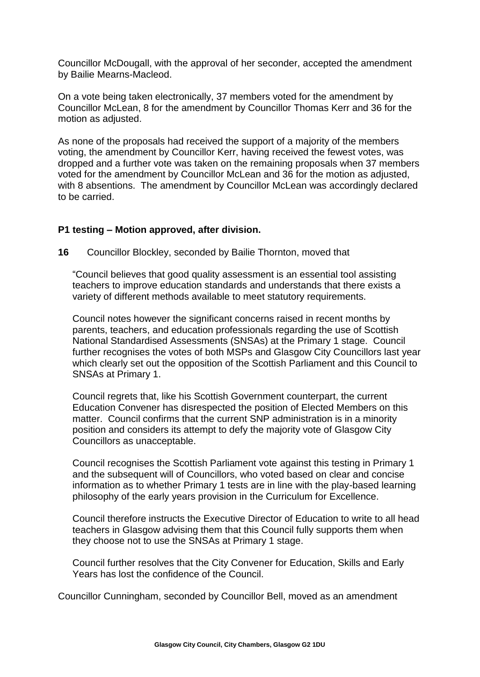Councillor McDougall, with the approval of her seconder, accepted the amendment by Bailie Mearns-Macleod.

On a vote being taken electronically, 37 members voted for the amendment by Councillor McLean, 8 for the amendment by Councillor Thomas Kerr and 36 for the motion as adjusted.

As none of the proposals had received the support of a majority of the members voting, the amendment by Councillor Kerr, having received the fewest votes, was dropped and a further vote was taken on the remaining proposals when 37 members voted for the amendment by Councillor McLean and 36 for the motion as adjusted, with 8 absentions. The amendment by Councillor McLean was accordingly declared to be carried.

#### **P1 testing – Motion approved, after division.**

**16** Councillor Blockley, seconded by Bailie Thornton, moved that

"Council believes that good quality assessment is an essential tool assisting teachers to improve education standards and understands that there exists a variety of different methods available to meet statutory requirements.

Council notes however the significant concerns raised in recent months by parents, teachers, and education professionals regarding the use of Scottish National Standardised Assessments (SNSAs) at the Primary 1 stage. Council further recognises the votes of both MSPs and Glasgow City Councillors last year which clearly set out the opposition of the Scottish Parliament and this Council to SNSAs at Primary 1.

Council regrets that, like his Scottish Government counterpart, the current Education Convener has disrespected the position of Elected Members on this matter. Council confirms that the current SNP administration is in a minority position and considers its attempt to defy the majority vote of Glasgow City Councillors as unacceptable.

Council recognises the Scottish Parliament vote against this testing in Primary 1 and the subsequent will of Councillors, who voted based on clear and concise information as to whether Primary 1 tests are in line with the play-based learning philosophy of the early years provision in the Curriculum for Excellence.

Council therefore instructs the Executive Director of Education to write to all head teachers in Glasgow advising them that this Council fully supports them when they choose not to use the SNSAs at Primary 1 stage.

Council further resolves that the City Convener for Education, Skills and Early Years has lost the confidence of the Council.

Councillor Cunningham, seconded by Councillor Bell, moved as an amendment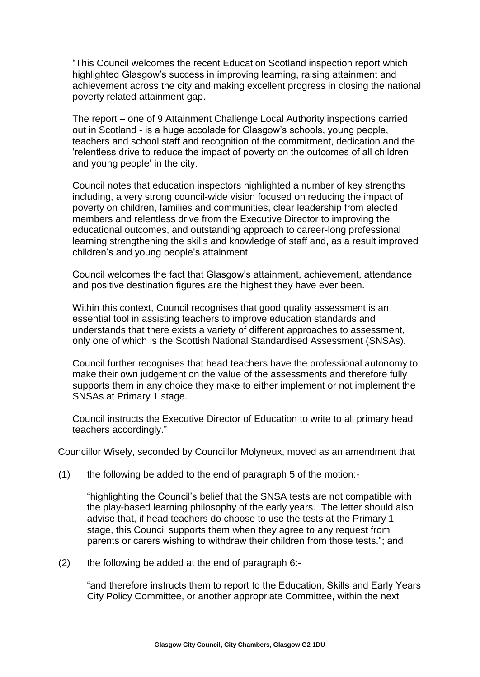"This Council welcomes the recent Education Scotland inspection report which highlighted Glasgow's success in improving learning, raising attainment and achievement across the city and making excellent progress in closing the national poverty related attainment gap.

The report – one of 9 Attainment Challenge Local Authority inspections carried out in Scotland - is a huge accolade for Glasgow's schools, young people, teachers and school staff and recognition of the commitment, dedication and the 'relentless drive to reduce the impact of poverty on the outcomes of all children and young people' in the city.

Council notes that education inspectors highlighted a number of key strengths including, a very strong council-wide vision focused on reducing the impact of poverty on children, families and communities, clear leadership from elected members and relentless drive from the Executive Director to improving the educational outcomes, and outstanding approach to career-long professional learning strengthening the skills and knowledge of staff and, as a result improved children's and young people's attainment.

Council welcomes the fact that Glasgow's attainment, achievement, attendance and positive destination figures are the highest they have ever been.

Within this context, Council recognises that good quality assessment is an essential tool in assisting teachers to improve education standards and understands that there exists a variety of different approaches to assessment, only one of which is the Scottish National Standardised Assessment (SNSAs).

Council further recognises that head teachers have the professional autonomy to make their own judgement on the value of the assessments and therefore fully supports them in any choice they make to either implement or not implement the SNSAs at Primary 1 stage.

Council instructs the Executive Director of Education to write to all primary head teachers accordingly."

Councillor Wisely, seconded by Councillor Molyneux, moved as an amendment that

(1) the following be added to the end of paragraph 5 of the motion:-

"highlighting the Council's belief that the SNSA tests are not compatible with the play-based learning philosophy of the early years. The letter should also advise that, if head teachers do choose to use the tests at the Primary 1 stage, this Council supports them when they agree to any request from parents or carers wishing to withdraw their children from those tests."; and

(2) the following be added at the end of paragraph 6:-

"and therefore instructs them to report to the Education, Skills and Early Years City Policy Committee, or another appropriate Committee, within the next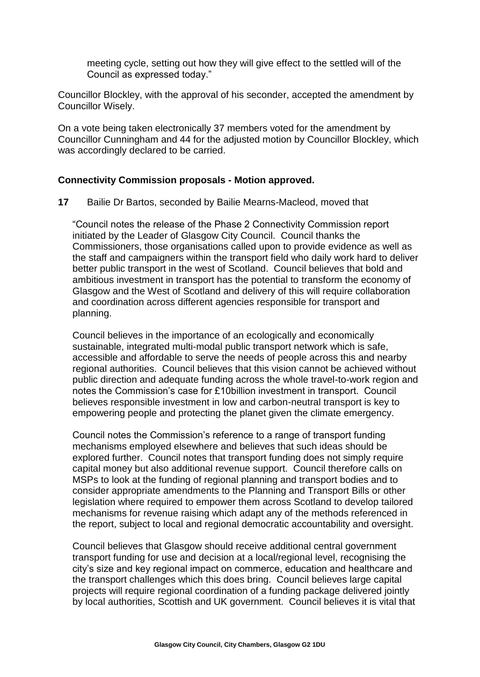meeting cycle, setting out how they will give effect to the settled will of the Council as expressed today."

Councillor Blockley, with the approval of his seconder, accepted the amendment by Councillor Wisely.

On a vote being taken electronically 37 members voted for the amendment by Councillor Cunningham and 44 for the adjusted motion by Councillor Blockley, which was accordingly declared to be carried.

#### **Connectivity Commission proposals - Motion approved.**

**17** Bailie Dr Bartos, seconded by Bailie Mearns-Macleod, moved that

"Council notes the release of the Phase 2 Connectivity Commission report initiated by the Leader of Glasgow City Council. Council thanks the Commissioners, those organisations called upon to provide evidence as well as the staff and campaigners within the transport field who daily work hard to deliver better public transport in the west of Scotland. Council believes that bold and ambitious investment in transport has the potential to transform the economy of Glasgow and the West of Scotland and delivery of this will require collaboration and coordination across different agencies responsible for transport and planning.

Council believes in the importance of an ecologically and economically sustainable, integrated multi-modal public transport network which is safe, accessible and affordable to serve the needs of people across this and nearby regional authorities. Council believes that this vision cannot be achieved without public direction and adequate funding across the whole travel-to-work region and notes the Commission's case for £10billion investment in transport. Council believes responsible investment in low and carbon-neutral transport is key to empowering people and protecting the planet given the climate emergency.

Council notes the Commission's reference to a range of transport funding mechanisms employed elsewhere and believes that such ideas should be explored further. Council notes that transport funding does not simply require capital money but also additional revenue support. Council therefore calls on MSPs to look at the funding of regional planning and transport bodies and to consider appropriate amendments to the Planning and Transport Bills or other legislation where required to empower them across Scotland to develop tailored mechanisms for revenue raising which adapt any of the methods referenced in the report, subject to local and regional democratic accountability and oversight.

Council believes that Glasgow should receive additional central government transport funding for use and decision at a local/regional level, recognising the city's size and key regional impact on commerce, education and healthcare and the transport challenges which this does bring. Council believes large capital projects will require regional coordination of a funding package delivered jointly by local authorities, Scottish and UK government. Council believes it is vital that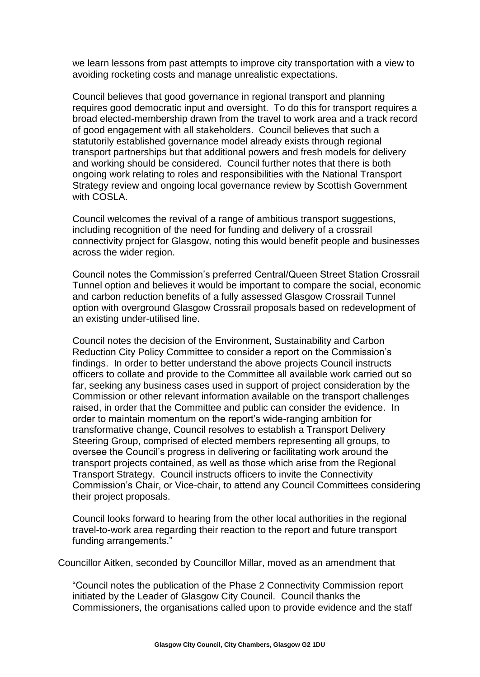we learn lessons from past attempts to improve city transportation with a view to avoiding rocketing costs and manage unrealistic expectations.

Council believes that good governance in regional transport and planning requires good democratic input and oversight. To do this for transport requires a broad elected-membership drawn from the travel to work area and a track record of good engagement with all stakeholders. Council believes that such a statutorily established governance model already exists through regional transport partnerships but that additional powers and fresh models for delivery and working should be considered. Council further notes that there is both ongoing work relating to roles and responsibilities with the National Transport Strategy review and ongoing local governance review by Scottish Government with COSLA.

Council welcomes the revival of a range of ambitious transport suggestions, including recognition of the need for funding and delivery of a crossrail connectivity project for Glasgow, noting this would benefit people and businesses across the wider region.

Council notes the Commission's preferred Central/Queen Street Station Crossrail Tunnel option and believes it would be important to compare the social, economic and carbon reduction benefits of a fully assessed Glasgow Crossrail Tunnel option with overground Glasgow Crossrail proposals based on redevelopment of an existing under-utilised line.

Council notes the decision of the Environment, Sustainability and Carbon Reduction City Policy Committee to consider a report on the Commission's findings. In order to better understand the above projects Council instructs officers to collate and provide to the Committee all available work carried out so far, seeking any business cases used in support of project consideration by the Commission or other relevant information available on the transport challenges raised, in order that the Committee and public can consider the evidence. In order to maintain momentum on the report's wide-ranging ambition for transformative change, Council resolves to establish a Transport Delivery Steering Group, comprised of elected members representing all groups, to oversee the Council's progress in delivering or facilitating work around the transport projects contained, as well as those which arise from the Regional Transport Strategy. Council instructs officers to invite the Connectivity Commission's Chair, or Vice-chair, to attend any Council Committees considering their project proposals.

Council looks forward to hearing from the other local authorities in the regional travel-to-work area regarding their reaction to the report and future transport funding arrangements."

Councillor Aitken, seconded by Councillor Millar, moved as an amendment that

"Council notes the publication of the Phase 2 Connectivity Commission report initiated by the Leader of Glasgow City Council. Council thanks the Commissioners, the organisations called upon to provide evidence and the staff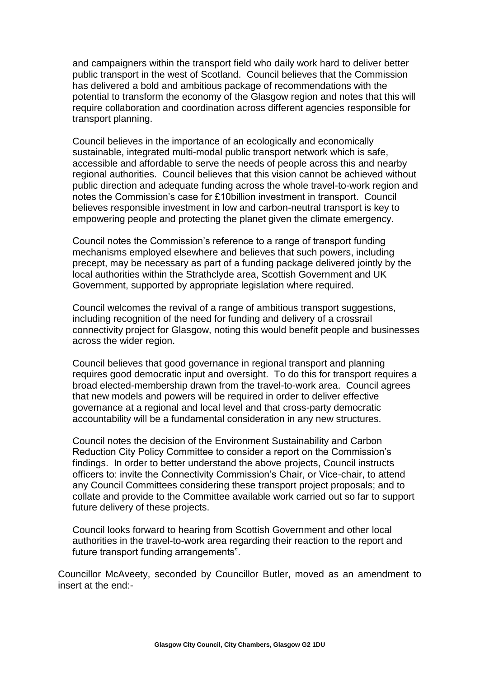and campaigners within the transport field who daily work hard to deliver better public transport in the west of Scotland. Council believes that the Commission has delivered a bold and ambitious package of recommendations with the potential to transform the economy of the Glasgow region and notes that this will require collaboration and coordination across different agencies responsible for transport planning.

Council believes in the importance of an ecologically and economically sustainable, integrated multi-modal public transport network which is safe, accessible and affordable to serve the needs of people across this and nearby regional authorities. Council believes that this vision cannot be achieved without public direction and adequate funding across the whole travel-to-work region and notes the Commission's case for £10billion investment in transport. Council believes responsible investment in low and carbon-neutral transport is key to empowering people and protecting the planet given the climate emergency.

Council notes the Commission's reference to a range of transport funding mechanisms employed elsewhere and believes that such powers, including precept, may be necessary as part of a funding package delivered jointly by the local authorities within the Strathclyde area, Scottish Government and UK Government, supported by appropriate legislation where required.

Council welcomes the revival of a range of ambitious transport suggestions, including recognition of the need for funding and delivery of a crossrail connectivity project for Glasgow, noting this would benefit people and businesses across the wider region.

Council believes that good governance in regional transport and planning requires good democratic input and oversight. To do this for transport requires a broad elected-membership drawn from the travel-to-work area. Council agrees that new models and powers will be required in order to deliver effective governance at a regional and local level and that cross-party democratic accountability will be a fundamental consideration in any new structures.

Council notes the decision of the Environment Sustainability and Carbon Reduction City Policy Committee to consider a report on the Commission's findings. In order to better understand the above projects, Council instructs officers to: invite the Connectivity Commission's Chair, or Vice-chair, to attend any Council Committees considering these transport project proposals; and to collate and provide to the Committee available work carried out so far to support future delivery of these projects.

Council looks forward to hearing from Scottish Government and other local authorities in the travel-to-work area regarding their reaction to the report and future transport funding arrangements".

Councillor McAveety, seconded by Councillor Butler, moved as an amendment to insert at the end:-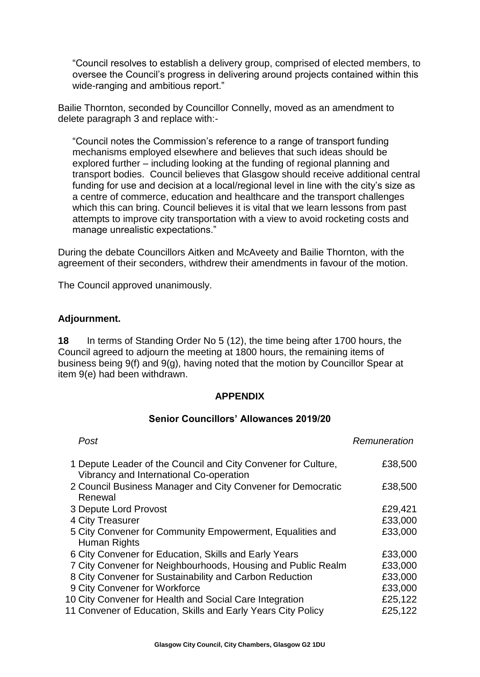"Council resolves to establish a delivery group, comprised of elected members, to oversee the Council's progress in delivering around projects contained within this wide-ranging and ambitious report."

Bailie Thornton, seconded by Councillor Connelly, moved as an amendment to delete paragraph 3 and replace with:-

"Council notes the Commission's reference to a range of transport funding mechanisms employed elsewhere and believes that such ideas should be explored further – including looking at the funding of regional planning and transport bodies. Council believes that Glasgow should receive additional central funding for use and decision at a local/regional level in line with the city's size as a centre of commerce, education and healthcare and the transport challenges which this can bring. Council believes it is vital that we learn lessons from past attempts to improve city transportation with a view to avoid rocketing costs and manage unrealistic expectations."

During the debate Councillors Aitken and McAveety and Bailie Thornton, with the agreement of their seconders, withdrew their amendments in favour of the motion.

The Council approved unanimously.

#### **Adjournment.**

**18** In terms of Standing Order No 5 (12), the time being after 1700 hours, the Council agreed to adjourn the meeting at 1800 hours, the remaining items of business being 9(f) and 9(g), having noted that the motion by Councillor Spear at item 9(e) had been withdrawn.

#### **APPENDIX**

#### **Senior Councillors' Allowances 2019/20**

| Remuneration |
|--------------|
| £38,500      |
| £38,500      |
| £29,421      |
| £33,000      |
| £33,000      |
| £33,000      |
| £33,000      |
| £33,000      |
| £33,000      |
| £25,122      |
| £25,122      |
|              |